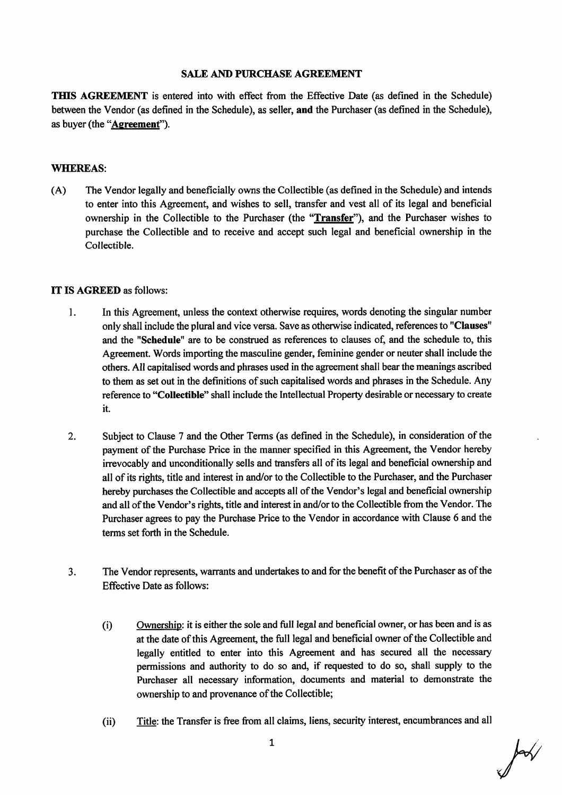## **SALE AND PURCHASE AGREEMENT**

**THIS AGREEMENT** is entered into with effect from the Effective Date (as defined in the Schedule) between the Vendor (as defined in the Schedule), as seller, and the Purchaser (as defined in the Schedule), as buyer (the "Agreement").

#### **WHEREAS:**

The Vendor legally and beneficially owns the Collectible (as defined in the Schedule) and intends  $(A)$ to enter into this Agreement, and wishes to sell, transfer and vest all of its legal and beneficial ownership in the Collectible to the Purchaser (the "Transfer"), and the Purchaser wishes to purchase the Collectible and to receive and accept such legal and beneficial ownership in the Collectible.

#### IT IS AGREED as follows:

- 1. In this Agreement, unless the context otherwise requires, words denoting the singular number only shall include the plural and vice versa. Save as otherwise indicated, references to "Clauses" and the "Schedule" are to be construed as references to clauses of, and the schedule to, this Agreement. Words importing the masculine gender, feminine gender or neuter shall include the others. All capitalised words and phrases used in the agreement shall bear the meanings ascribed to them as set out in the definitions of such capitalised words and phrases in the Schedule. Any reference to "Collectible" shall include the Intellectual Property desirable or necessary to create it.
- $2.$ Subject to Clause 7 and the Other Terms (as defined in the Schedule), in consideration of the payment of the Purchase Price in the manner specified in this Agreement, the Vendor hereby irrevocably and unconditionally sells and transfers all of its legal and beneficial ownership and all of its rights, title and interest in and/or to the Collectible to the Purchaser, and the Purchaser hereby purchases the Collectible and accepts all of the Vendor's legal and beneficial ownership and all of the Vendor's rights, title and interest in and/or to the Collectible from the Vendor. The Purchaser agrees to pay the Purchase Price to the Vendor in accordance with Clause 6 and the terms set forth in the Schedule.
- The Vendor represents, warrants and undertakes to and for the benefit of the Purchaser as of the  $3.$ **Effective Date as follows:** 
	- $(i)$ Ownership: it is either the sole and full legal and beneficial owner, or has been and is as at the date of this Agreement, the full legal and beneficial owner of the Collectible and legally entitled to enter into this Agreement and has secured all the necessary permissions and authority to do so and, if requested to do so, shall supply to the Purchaser all necessary information, documents and material to demonstrate the ownership to and provenance of the Collectible;
	- $(ii)$ Title: the Transfer is free from all claims, liens, security interest, encumbrances and all

 $10<sub>1</sub>$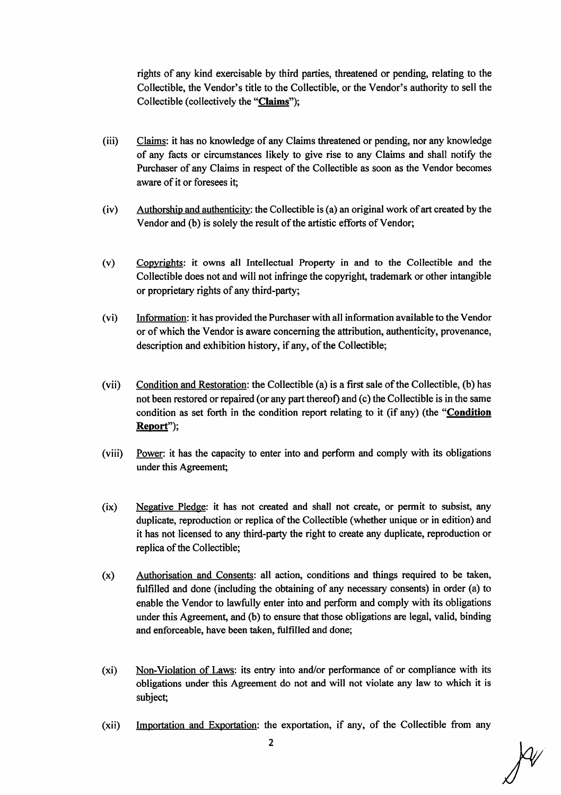rights of any kind exercisable by third parties, threatened or pending, relating to the Collectible, the Vendor's title to the Collectible, or the Vendor's authority to sell the Collectible (collectively the "Claims");

- (iii) Claims: it has no knowledge of any Claims threatened or pending, nor any knowledge of any facts or circumstances likely to give rise to any Claims and shall notify the Purchaser of any Claims in respect of the Collectible as soon as the Vendor becomes aware of it or foresees it;
- $(iv)$  Authorship and authenticity: the Collectible is (a) an original work of art created by the Vendor and (b) is solely the result of the artistic efforts of Vendor;
- Copyrights: it owns all Intellectual Properfy in and to the Collectible and the Collectible does not and will not infringe the copyright, trademark or other intangible or proprietary rights of any third-party; (٧)
- (vi) Information: it has provided the Purchaser with all information available to the Vendor or of which the Vendor is aware concerning the attribution, authenticity, provenance, description and exhibition history, if any, of the Collectible;
- Condition and Restoration: the Collectible (a) is a first sale of the Collectible, (b) has not been restored or repaired (or any part thereof) and (c) the Collectible is in the same condition as set forth in the condition report relating to it (if any) (the "Condition Report"): (vil)
- (viii) Power: it lias the capacity to enter into and perfonn and comply with its obligations under this Agreement;
- Negative Pledge: it has not created and shall not create, or permit to subsist, any duplicate, reproduction or replica of the Collectible (whether unique or in edition) and it has not licensed to any third-party the right to create any duplicate, reproduction or replica of the Collectible;  $(ix)$
- Authorisation and Consents: all action, conditions and things required to be taken, fulfilled and done (including the obtaining of any necessary consents) in order (a) to enable the Vendor to lawfully enter into and perform and comply with its obligations under this Agreement, and (b) to ensure that those obligations are legal, valid, binding and enforceable, have been taken, fulfilled and done; (X)
- Non-Violation of Laws: its entry into and/or performance of or compliance with its obligations under this Agreement do not and will not violate any law to which it is subject; (xi)
- (xii) Importation and Exportation: the exportation, if any, of the Collectible from any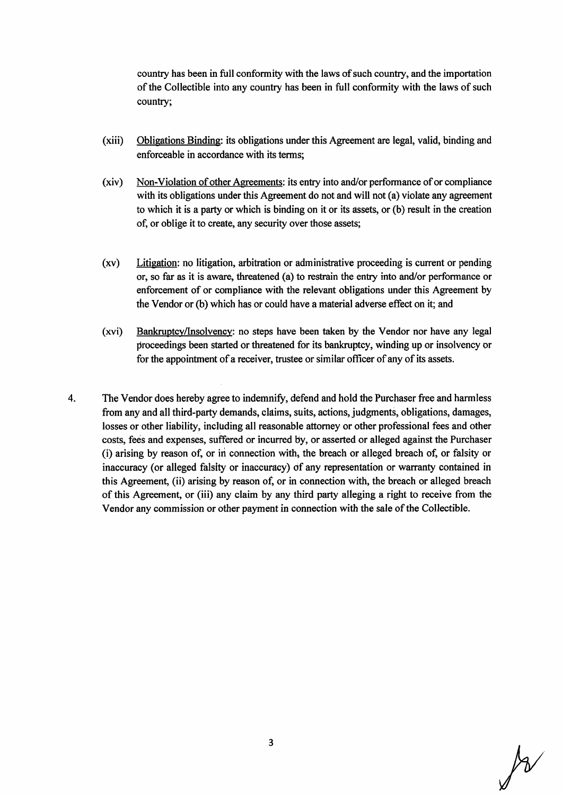country has been in full conformity with the laws of such country, and the importation of the Collectible into any country has been in full conformity with the laws of such country;

- (xiii) Obligations Binding: its obligations under this Agreement are legal, valid, binding and enforceable in accordance with its terms;
- (xiv) Non-Violation of other Agreements: its entty into and/or perfomance of or compliance with its obligations under this Agreement do not and will not (a) violate any agreement to which it is a party or which is binding on it or its assets, or  $(b)$  result in the creation of, or oblige it to create, any security over those assets;
- of, or oblige it to create, any security over those assets;<br>
Litigation: no litigation, arbitration or administrative proceeding is current or pending<br>
or, so far as it is aware, threatened (a) to restrain the entry into a enforcement of or compliance with the relevant obligations under this Agreement by the Vendor or (b) which has or could have a material adverse effect on it; and (XV)
- Bankruptcy/Insolvency: no steps have been taken by the Vendor nor have any legal proceedings been started or threatened for its bankruptcy, winding up or insolvency or for the appointment of a receiver, trustee or similar officer of any of its assets. (xvi)
- The Vendor does hereby agree to indemnify, defend and hold the Purchaser free and harmless from any and all third-party demands, claims, suits, actions, judgments, obligations, damages, losses or other liability, including all reasonable attorney or other professional fees and other costs, fees and expenses, suffered or incurred by, or asserted or alleged against the Purchaser (i) arising by reason of, or in connection with, the breach or alleged breach of, or falsity or inaccuracy (or alleged falsity or inaccuracy) of any representation or warranty contained in this Agreement, (ii) arising by reason of, or in connection with, the breach or alleged breach of this Agreement, or (iii) any claim by any third party alleging a right to receive from the Vendor any commission or other payment in connection with the sale of the Collectible. 4.

 $\cancel{\beta}$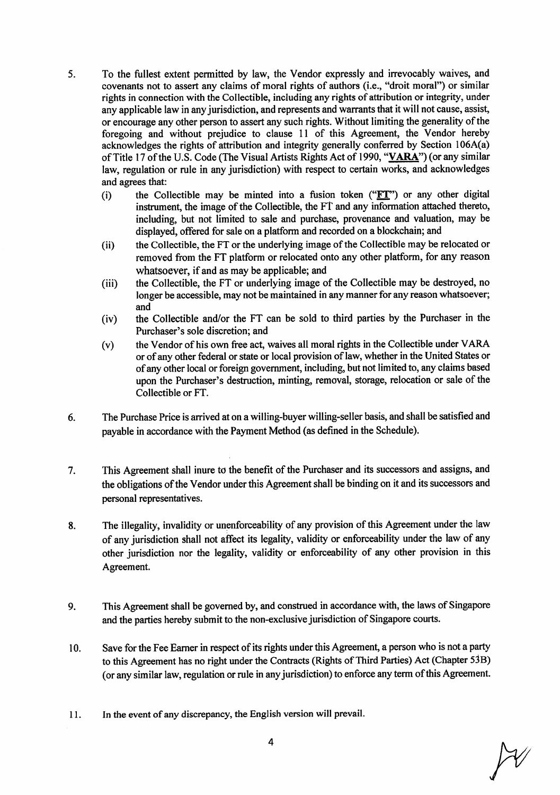- To the fullest extent permitted by law, the Vendor expressly and irrevocably waives, and covenants not to assert any claims of moral rights of authors (i.e., "droit moral") or similar rights in connection with the Collectible, including any rights of attribution or integrity, under any applicable law in any jurisdiction, and represents and warrants that it will not cause, assist, or encourage any other person to assert any such rights. Without limiting the generality of the foregoing and without prejudice to clause  $11$  of this Agreement, the Vendor hereby acknowledges the rights of attribution and integrity generally conferred by Section  $106A(a)$ of Title 17 of the U.S. Code (The Visual Artists Rights Act of 1990, "VARA") (or any similar law, regulation or rule in any jurisdiction) with respect to certain works, and acknowledges and agrees that: 5
	- the Collectible may be minted into a fusion token (" $ET$ ") or any other digital instrument, the image of the Collectible, the FT and any information attached thereto, including, but not limited to sale and purchase, provenance and valuation, may be displayed, offered for sale on a platform and recorded on a blockchain; and  $(i)$
	- the Collectible, the FT or the underlying image of the Collectible may be relocated or removed from the FT platform or relocated onto any other platform, for any reason whatsoever, if and as may be applicable؛ and (ii)
	- the Collectible, the FT or underlying image of the Collectible may be destroyed, no longer be accessible, may not be maintained in any manner for any reason whatsoever;  $(iii)$ and
	- the Collectible and/or the FT can be sold to third parties by the Purchaser in the Purchaser's sole discretion; and (iv)
	- the Vendor of his own free act, waives all moral rights in the Collectible under VARA or of any other federal or state or local provision of law, whether in the United States or of any other local or foreign government, including, but not limited to, any claims based upon the Purchaser's destruction, minting, removal, storage, relocation or sale of the Collectible or FT. (V)
- The Purchase Price is arrived at on a willing-buyer willing-seller basis, and shall be satisfied and payable in accordance with the Payment Method (as defined in the Schedule). 6.
- This Agreement shall inure to the benefit of the Purchaser and its successors and assigns, and the obligations of the Vendor under this Agreement shall be binding on it and its successors and personal representatives. 7,
- 8. The illegality, invalidity or unenforceability of any provision of this Agreement under the law of any jurisdiction shall not affect its legality, validity or enforceability under the law of any other jurisdiction nor the legality, validity or enforceability of any other provision in this Agreement.
- This Agreement shall be governed by, and construed in accordance with, the laws of Singapore and the parties hereby submit to the non-exclusive jurisdiction of Singapore courts. 9.
- Save for the Fee Earner in respect of its rights under this Agreement, a person who is not a party to this Agreement has no right under the Contracts (Rights of Third Parties) Act (Chapter 53B) (or any similar law, regulation or rule in any jurisdiction) to enforce any term of this Agreement. 10.
- 11. In the event of any discrepancy, the English version will prevail.

 $\cancel{\sim}$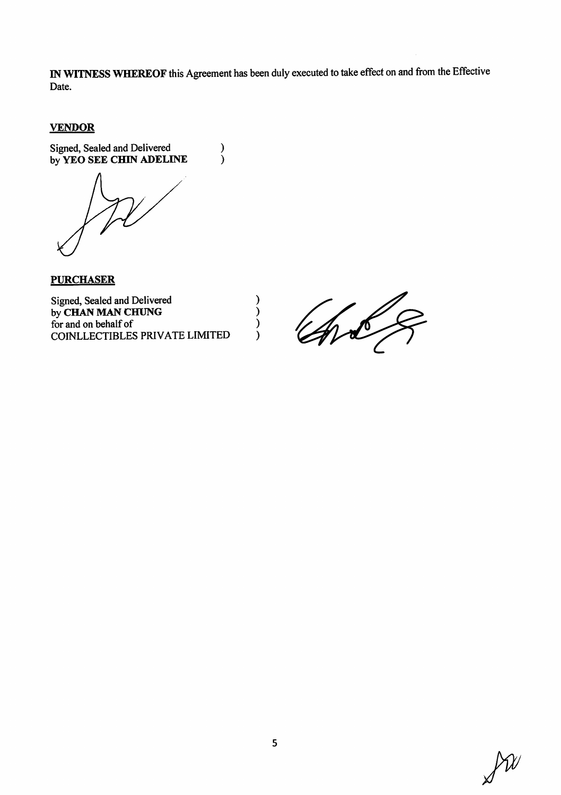IN WITNESS WHEREOF this Agreement has been duly executed to take effect on and from the Effective Date.

 $\mathcal{E}$ 

 $\mathcal{E}$  $\mathcal{E}$ 

 $\lambda$ 

 $\begin{smallmatrix} \frac{1}{2} \\ 1 \end{smallmatrix}$ 

## **VENDOR**

Signed, Sealed and Delivered<br>by YEO SEE CHIN ADELINE

**PURCHASER** 

Signed, Sealed and Delivered by CHAN MAN CHUNG for and on behalf of COINLLECTIBLES PRIVATE LIMITED

Total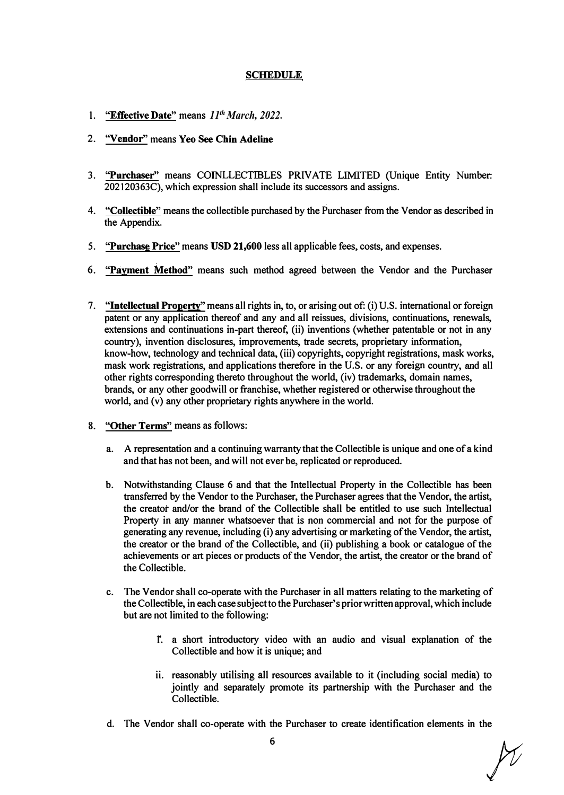# **SCHEDULE**

- **1. "Effective Date" means** *11th March, 2022.*
- **2. "Vendor" means Yeo See Chin Adeline**
- **3. "Purchaser" means COINLLECTIBLES PRIVATE LIMITED (Unique Entity Number: 202120363C), which expression shall include its successors and assigns.**
- **4. "Collectible" means the collectible purchased by the Purchaser from the Vendor as described in the Appendix.**
- **5. "Purchase Price" means USD 21,600 less all applicable fees, costs, and expenses.**
- **6. "Payment Method" means such method agreed between the Vendor and the Purchaser**
- **7. "Intellectual Property" means all rights in, to, or arising out of: (i) U.S. international or foreign patent or any application thereof and any and all reissues, divisions, continuations, renewals, extensions and continuations in-part thereof, (ii) inventions (whether patentable or not in any country), invention disclosures, improvements, trade secrets, proprietaty information, knowhow, technology and technical data, (iii) copyrights, copyright registrations, mask works, mask work registrations, and applications therefore in the U.S. or any foreign country, and all other rights corresponding thereto throughout the world, (iv) trademarks, domain names, brands, or any other goodwill or franchise, whether registered or otherwise throughout the**  world, and (v) any other proprietary rights anywhere in the world.
- **8. "Other Terms" means as follows:**
	- **a. A representation and a continuing warranty that the Collectible is unique and one of a kind and that has not been, and will notever be, replicated or reproduced.**
	- **b. Notwithstanding Clause 6 and that the Intellectual Property in the Collectible has been transferred by the Vendor to the Purchaser, the Purchaser agrees that the Vendor, the artist, the creatot and/or the brand of the Collectible shall be entitled to use such Intellectual Property in any manner whatsoever that is non commercial and not for the purpose of generating any revenue, including (i) any advertising or marketing of the Vendor, the artist, the creator or the brand of the Collectible, and (ii) publishing a book or catalogue of the achievements or art pieces or products of the Vendor, the artist, the creator or the brand of the Collectible.**
	- **c. The Vendor shall co-operate with the Purchaser in all matters relating to the marketing of the Collectible, in each casesubject to the Purchaser's priorwritten approval, which include but are not limited to the following:**
		- **1. a short introductory video with an audio and visual explanation of the Collectible and how it is unique; and**
		- **ii. reasonably utilising all resources available to it (including social media) to jointly and separately promote its partnership with the Purchaser and the Collectible.**
	- **d. The Vendor shall co-operate with the Purchaser to create identification elements in the**

*ft*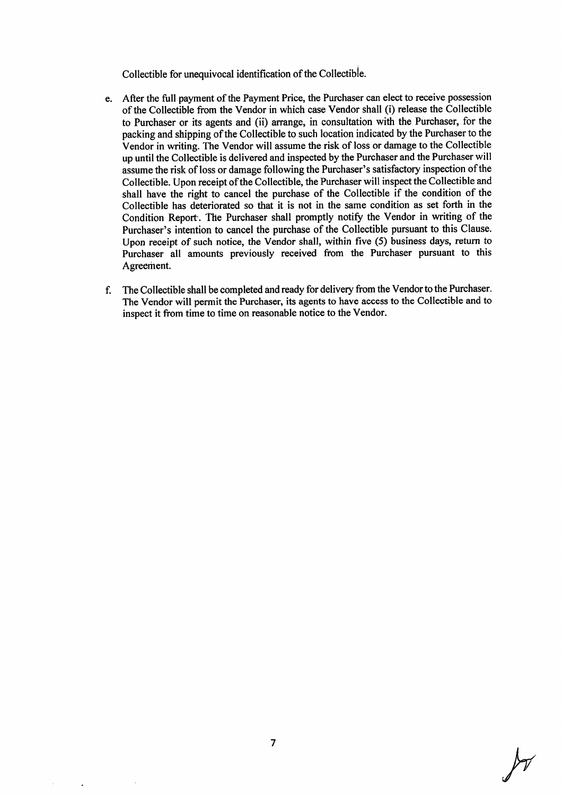Collectible for unequivocal identification of the Collectible.

- e. After the full payment of the Payment Price, the Purchaser can elect to receive possession of the Collectible from the Vendor in which case Vendor shall (i) release the Collectible to Purchaser or its agents and (ii) arrange, in consultation with the Purchaser, for the packing and shipping of the Collectible to such location indicated by the Purchaser to the Vendor in writing. The Vendor will assume the risk of loss or damage to the Collectible up until the Collectible is delivered and inspected by the Purchaser and the Purchaser will assume the risk of loss or damage following the Purchaser's satisfactory inspection of the Collectible. Upon receipt of the Collectible, the Purchaser will inspect the Collectible and shall have the right to cancel the purchase of the Collectible if the condition of the Collectible has deteriorated so that it is not in the same condition as set forth in the Condition Report. The Purchaser shall promptly notify the Vendor in writing of the Purchaser's intention to cancel the purchase of the Collectible pursuant to this Clause. Upon receipt of such notice, the Vendor shall, within five (5) business days, return to Purchaser all amounts previously received from the Purchaser pursuant to this Agreement,
- f. The Collectible shall be completed and ready for delivery from the Vendor to the Purchaser. The Vendor will permit the Purchaser, its agents to have access to the Collectible and to inspect it from time to time on reasonable notice to the Vendor.